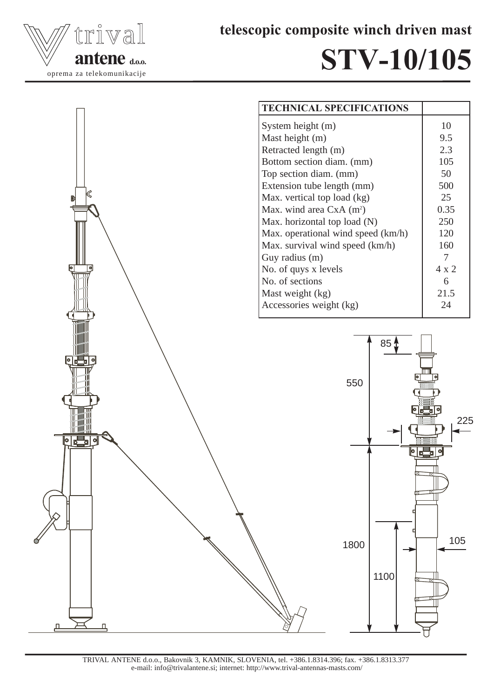

telescopic composite winch driven mast

## STV-10/105